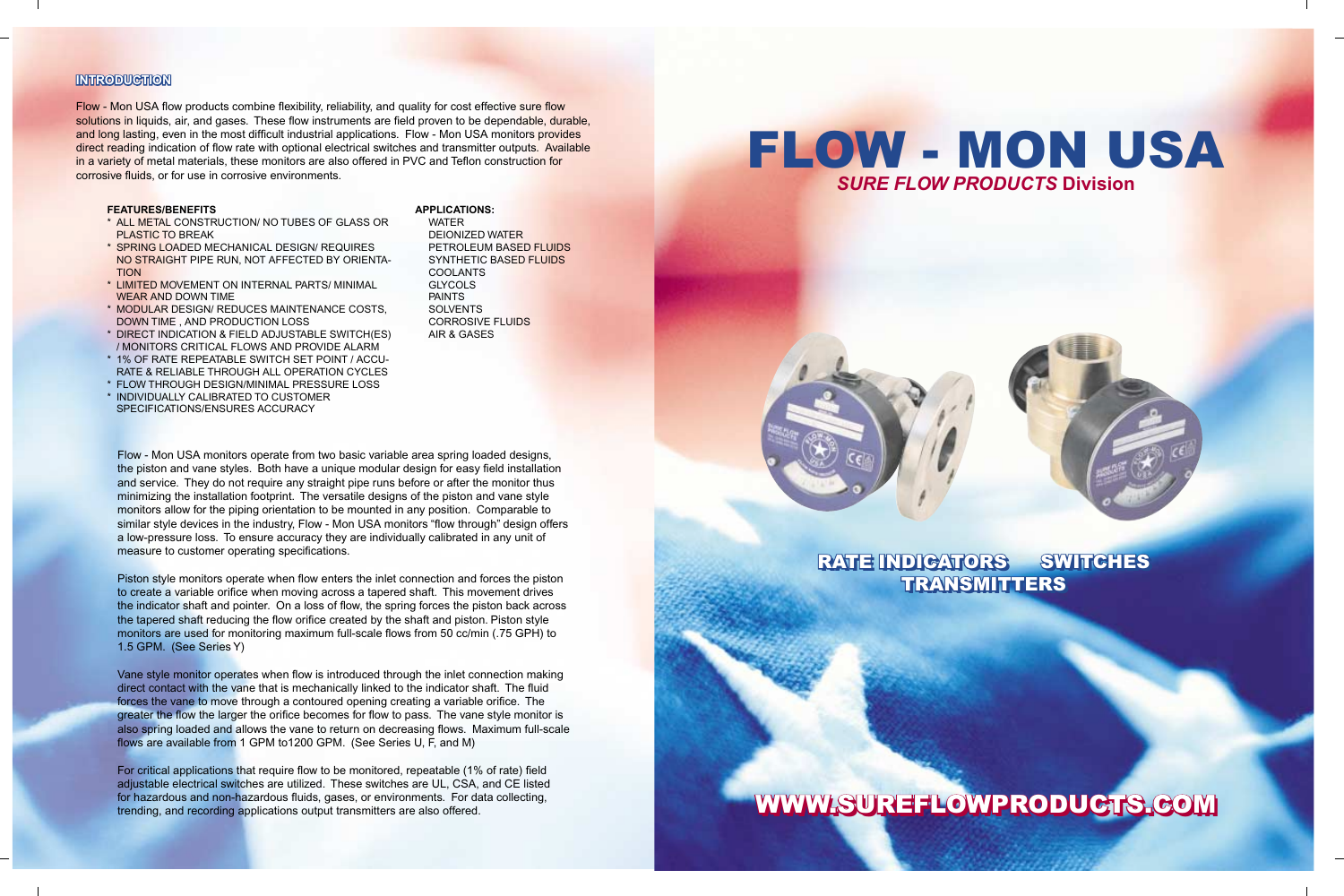Piston style monitors operate when flow enters the inlet connection and forces the piston to create a variable orifice when moving across a tapered shaft. This movement drives the indicator shaft and pointer. On a loss of flow, the spring forces the piston back across the tapered shaft reducing the flow orifice created by the shaft and piston. Piston style monitors are used for monitoring maximum full-scale flows from 50 cc/min (.75 GPH) to 1.5 GPM. (See Series Y)

Vane style monitor operates when flow is introduced through the inlet connection making direct contact with the vane that is mechanically linked to the indicator shaft. The fluid forces the vane to move through a contoured opening creating a variable orifice. The greater the flow the larger the orifice becomes for flow to pass. The vane style monitor is also spring loaded and allows the vane to return on decreasing flows. Maximum full-scale flows are available from 1 GPM to1200 GPM. (See Series U, F, and M)

For critical applications that require flow to be monitored, repeatable (1% of rate) field adjustable electrical switches are utilized. These switches are UL, CSA, and CE listed for hazardous and non-hazardous fluids, gases, or environments. For data collecting, trending, and recording applications output transmitters are also offered.

**APPLICATIONS:**

 WATER DEIONIZED WATER PETROLEUM BASED FLUIDS SYNTHETIC BASED FLUIDS COOLANTS **GLYCOLS**  PAINTS **SOLVENTS**  CORROSIVE FLUIDS AIR & GASES

# WWW.SUREFLOWPRODUCTS.COM

#### **FEATURES/BENEFITS**

- \* ALL METAL CONSTRUCTION/ NO TUBES OF GLASS OR PLASTIC TO BREAK
- \* SPRING LOADED MECHANICAL DESIGN/ REQUIRES NO STRAIGHT PIPE RUN, NOT AFFECTED BY ORIENTA-TION
- \* LIMITED MOVEMENT ON INTERNAL PARTS/ MINIMAL WEAR AND DOWN TIME
- \* MODULAR DESIGN/ REDUCES MAINTENANCE COSTS, DOWN TIME , AND PRODUCTION LOSS
- \* DIRECT INDICATION & FIELD ADJUSTABLE SWITCH(ES) / MONITORS CRITICAL FLOWS AND PROVIDE ALARM
- \* 1% OF RATE REPEATABLE SWITCH SET POINT / ACCU-RATE & RELIABLE THROUGH ALL OPERATION CYCLES
- \* FLOW THROUGH DESIGN/MINIMAL PRESSURE LOSS
- \* INDIVIDUALLY CALIBRATED TO CUSTOMER SPECIFICATIONS/ENSURES ACCURACY

Flow - Mon USA monitors operate from two basic variable area spring loaded designs, the piston and vane styles. Both have a unique modular design for easy field installation and service. They do not require any straight pipe runs before or after the monitor thus minimizing the installation footprint. The versatile designs of the piston and vane style monitors allow for the piping orientation to be mounted in any position. Comparable to similar style devices in the industry, Flow - Mon USA monitors "flow through" design offers a low-pressure loss. To ensure accuracy they are individually calibrated in any unit of measure to customer operating specifications.

### **INTRODUCTION**

Flow - Mon USA flow products combine flexibility, reliability, and quality for cost effective sure flow solutions in liquids, air, and gases. These flow instruments are field proven to be dependable, durable, and long lasting, even in the most difficult industrial applications. Flow - Mon USA monitors provides direct reading indication of flow rate with optional electrical switches and transmitter outputs. Available in a variety of metal materials, these monitors are also offered in PVC and Teflon construction for corrosive fluids, or for use in corrosive environments.



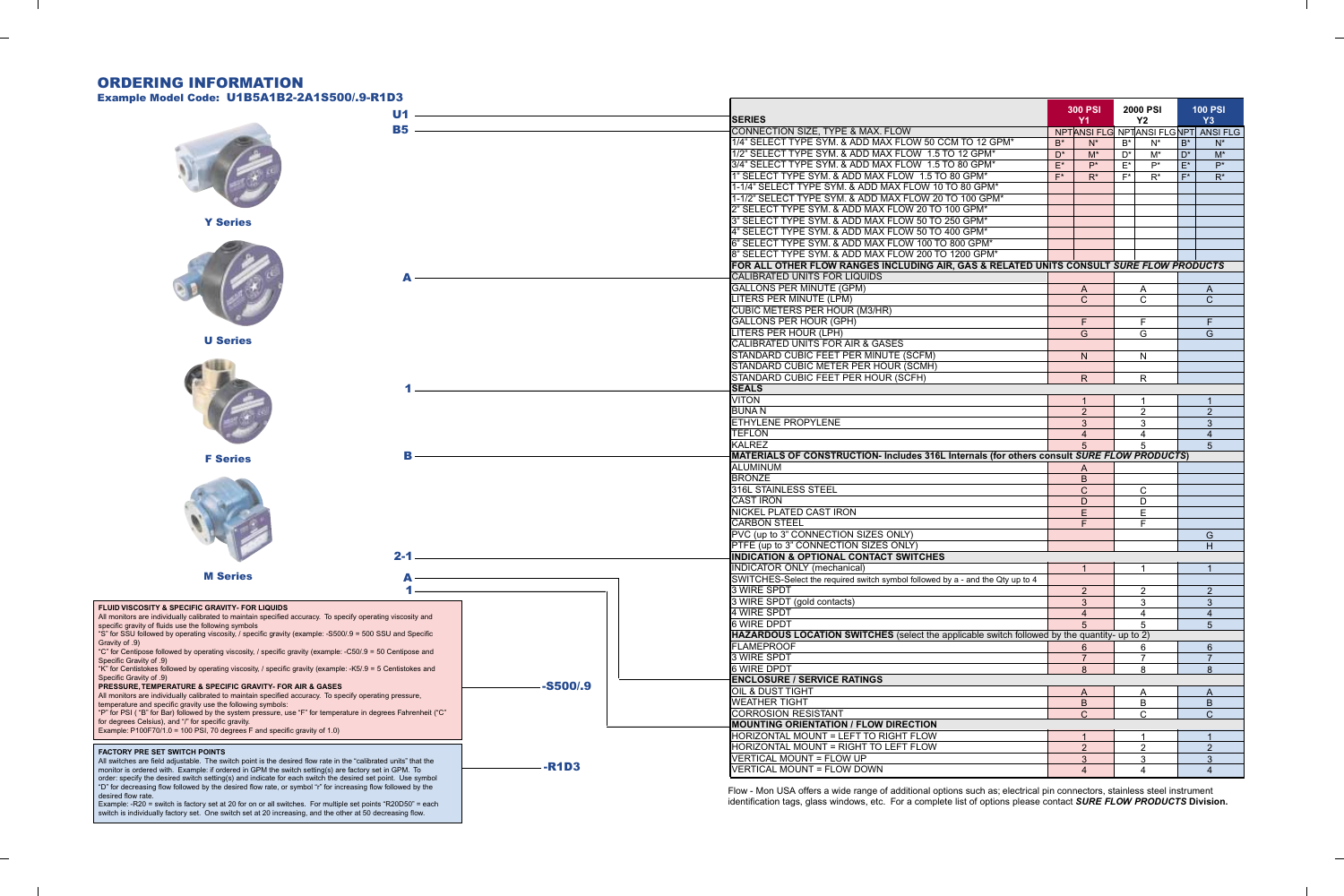# ORDERING INFORMATION

Example Model Code: U1B5A1B2-2A1S500/9-R1D3

identifi cation tags, glass windows, etc. For a complete list of options please contact *SURE FLOW PRODUCTS* **Division.**

Example: -R20 = switch is factory set at 20 for on or all switches. For multiple set points "R20D50" = each switch is individually factory set. One switch set at 20 increasing, and the other at 50 decreasing flow.

| Example Model Code: UTB3ATBZ-ZAT3300/19-RTD3                                                                                                                                                                                |                 |             |                                                                                            |                                                                                                                                                                                                                                                | <b>300 PSI</b>               | 2000 PSI               |                        |                        | <b>100 PSI</b> |
|-----------------------------------------------------------------------------------------------------------------------------------------------------------------------------------------------------------------------------|-----------------|-------------|--------------------------------------------------------------------------------------------|------------------------------------------------------------------------------------------------------------------------------------------------------------------------------------------------------------------------------------------------|------------------------------|------------------------|------------------------|------------------------|----------------|
|                                                                                                                                                                                                                             | U1<br><b>B5</b> |             |                                                                                            | SERIES                                                                                                                                                                                                                                         | <b>Y1</b>                    |                        | <b>Y2</b>              |                        | Y3             |
|                                                                                                                                                                                                                             |                 |             | CONNECTION SIZE, TYPE & MAX. FLOW                                                          | NPTANSI FLG NPTANSI FLGNPT ANSI FLG                                                                                                                                                                                                            |                              |                        |                        |                        |                |
|                                                                                                                                                                                                                             |                 |             |                                                                                            | 1/4" SELECT TYPE SYM. & ADD MAX FLOW 50 CCM TO 12 GPM*                                                                                                                                                                                         | $B^*$<br>$N^*$               | $B^*$                  | $N^*$                  | $B^*$                  | $N^*$          |
|                                                                                                                                                                                                                             |                 |             |                                                                                            | 1/2" SELECT TYPE SYM. & ADD MAX FLOW 1.5 TO 12 GPM*                                                                                                                                                                                            | $D^*$<br>$M^*$               | $D^*$                  | $M^*$                  | $D^*$                  | $M^*$          |
|                                                                                                                                                                                                                             |                 |             |                                                                                            | 3/4" SELECT TYPE SYM. & ADD MAX FLOW 1.5 TO 80 GPM*                                                                                                                                                                                            | $\mathsf{E}^\star$<br>$P^*$  | $E^*$                  | $P^*$                  | $E^*$                  | $P^*$          |
|                                                                                                                                                                                                                             |                 |             |                                                                                            | 1" SELECT TYPE SYM. & ADD MAX FLOW 1.5 TO 80 GPM*                                                                                                                                                                                              | $F^*$<br>$R^*$               | $F^*$                  | $R^*$                  | $F^*$                  | $R^*$          |
|                                                                                                                                                                                                                             |                 |             |                                                                                            | 1-1/4" SELECT TYPE SYM. & ADD MAX FLOW 10 TO 80 GPM*                                                                                                                                                                                           |                              |                        |                        |                        |                |
|                                                                                                                                                                                                                             |                 |             |                                                                                            | 1-1/2" SELECT TYPE SYM. & ADD MAX FLOW 20 TO 100 GPM*                                                                                                                                                                                          |                              |                        |                        |                        |                |
|                                                                                                                                                                                                                             |                 |             |                                                                                            | 2" SELECT TYPE SYM. & ADD MAX FLOW 20 TO 100 GPM*                                                                                                                                                                                              |                              |                        |                        |                        |                |
| <b>Y Series</b>                                                                                                                                                                                                             |                 |             |                                                                                            | 3" SELECT TYPE SYM. & ADD MAX FLOW 50 TO 250 GPM*                                                                                                                                                                                              |                              |                        |                        |                        |                |
|                                                                                                                                                                                                                             |                 |             |                                                                                            | 4" SELECT TYPE SYM. & ADD MAX FLOW 50 TO 400 GPM*                                                                                                                                                                                              |                              |                        |                        |                        |                |
|                                                                                                                                                                                                                             |                 |             |                                                                                            | 6" SELECT TYPE SYM. & ADD MAX FLOW 100 TO 800 GPM*                                                                                                                                                                                             |                              |                        |                        |                        |                |
|                                                                                                                                                                                                                             |                 |             | 8" SELECT TYPE SYM. & ADD MAX FLOW 200 TO 1200 GPM*                                        |                                                                                                                                                                                                                                                |                              |                        |                        |                        |                |
|                                                                                                                                                                                                                             |                 |             |                                                                                            | FOR ALL OTHER FLOW RANGES INCLUDING AIR, GAS & RELATED UNITS CONSULT <i>SURE FLOW PRODUCTS</i>                                                                                                                                                 |                              |                        |                        |                        |                |
|                                                                                                                                                                                                                             |                 |             |                                                                                            | CALIBRATED UNITS FOR LIQUIDS                                                                                                                                                                                                                   |                              |                        |                        |                        |                |
|                                                                                                                                                                                                                             |                 |             |                                                                                            | <b>GALLONS PER MINUTE (GPM)</b>                                                                                                                                                                                                                | $\mathsf{A}$                 |                        | $\mathsf{A}$           |                        | $\mathsf{A}$   |
|                                                                                                                                                                                                                             |                 |             |                                                                                            | LITERS PER MINUTE (LPM)                                                                                                                                                                                                                        | $\mathsf{C}$                 |                        | $\mathsf{C}$           |                        | $\mathsf{C}$   |
|                                                                                                                                                                                                                             |                 |             |                                                                                            | <b>CUBIC METERS PER HOUR (M3/HR)</b>                                                                                                                                                                                                           |                              |                        |                        |                        |                |
|                                                                                                                                                                                                                             |                 |             |                                                                                            | <b>GALLONS PER HOUR (GPH)</b>                                                                                                                                                                                                                  | F.                           |                        | F.                     |                        | F              |
| <b>U Series</b>                                                                                                                                                                                                             |                 |             |                                                                                            | <b>LITERS PER HOUR (LPH)</b>                                                                                                                                                                                                                   | G                            |                        | G                      |                        | G              |
|                                                                                                                                                                                                                             |                 |             |                                                                                            | <b>CALIBRATED UNITS FOR AIR &amp; GASES</b>                                                                                                                                                                                                    |                              |                        |                        |                        |                |
|                                                                                                                                                                                                                             |                 |             |                                                                                            | STANDARD CUBIC FEET PER MINUTE (SCFM)                                                                                                                                                                                                          | N                            |                        | N.                     |                        |                |
|                                                                                                                                                                                                                             |                 |             |                                                                                            | STANDARD CUBIC METER PER HOUR (SCMH)                                                                                                                                                                                                           |                              |                        |                        |                        |                |
|                                                                                                                                                                                                                             |                 |             |                                                                                            | STANDARD CUBIC FEET PER HOUR (SCFH)                                                                                                                                                                                                            | R                            |                        | $\mathsf{R}$           |                        |                |
|                                                                                                                                                                                                                             |                 |             |                                                                                            | <b>SEALS</b>                                                                                                                                                                                                                                   |                              |                        |                        |                        |                |
|                                                                                                                                                                                                                             |                 |             |                                                                                            | <b>VITON</b>                                                                                                                                                                                                                                   | $\mathbf{1}$                 |                        | $\overline{1}$         |                        | $\overline{1}$ |
|                                                                                                                                                                                                                             |                 |             |                                                                                            | <b>BUNAN</b>                                                                                                                                                                                                                                   | 2 <sup>2</sup>               |                        | $\overline{2}$         |                        | $\overline{2}$ |
|                                                                                                                                                                                                                             |                 |             |                                                                                            | <b>ETHYLENE PROPYLENE</b>                                                                                                                                                                                                                      | $\mathbf{3}$                 |                        | $\mathbf{3}$           |                        | $\mathbf{3}$   |
|                                                                                                                                                                                                                             |                 |             |                                                                                            | <b>TEFLON</b><br>KALREZ                                                                                                                                                                                                                        | $\overline{4}$               |                        | $\boldsymbol{\Lambda}$ |                        | $\overline{4}$ |
|                                                                                                                                                                                                                             |                 |             | MATERIALS OF CONSTRUCTION- Includes 316L Internals (for others consult SURE FLOW PRODUCTS) | $5^{\circ}$                                                                                                                                                                                                                                    |                              | 5                      |                        | 5 <sup>5</sup>         |                |
| <b>F</b> Series                                                                                                                                                                                                             |                 |             |                                                                                            | IALUMINUM                                                                                                                                                                                                                                      |                              |                        |                        |                        |                |
|                                                                                                                                                                                                                             |                 |             |                                                                                            | <b>BRONZE</b>                                                                                                                                                                                                                                  | $\mathsf{A}$<br>$\, {\bf B}$ |                        |                        |                        |                |
|                                                                                                                                                                                                                             |                 |             |                                                                                            | 316L STAINLESS STEEL                                                                                                                                                                                                                           | $\mathsf{C}$                 |                        | $\mathsf{C}$           |                        |                |
|                                                                                                                                                                                                                             |                 |             |                                                                                            | <b>CAST IRON</b>                                                                                                                                                                                                                               | D                            |                        | D                      |                        |                |
|                                                                                                                                                                                                                             |                 |             |                                                                                            | NICKEL PLATED CAST IRON                                                                                                                                                                                                                        | E                            |                        | $\mathsf E$            |                        |                |
|                                                                                                                                                                                                                             |                 |             |                                                                                            | <b>CARBON STEEL</b>                                                                                                                                                                                                                            | F                            |                        | F                      |                        |                |
|                                                                                                                                                                                                                             |                 |             |                                                                                            | PVC (up to 3" CONNECTION SIZES ONLY)                                                                                                                                                                                                           |                              |                        |                        |                        | G              |
|                                                                                                                                                                                                                             |                 |             |                                                                                            | PTFE (up to 3" CONNECTION SIZES ONLY)                                                                                                                                                                                                          |                              |                        |                        |                        | H              |
|                                                                                                                                                                                                                             | $2 - 1$         |             |                                                                                            | <b>INDICATION &amp; OPTIONAL CONTACT SWITCHES</b>                                                                                                                                                                                              |                              |                        |                        |                        |                |
|                                                                                                                                                                                                                             |                 |             |                                                                                            | <b>INDICATOR ONLY (mechanical)</b>                                                                                                                                                                                                             |                              |                        |                        |                        | -1             |
| <b>M</b> Series                                                                                                                                                                                                             |                 |             |                                                                                            | SWITCHES-Select the required switch symbol followed by a - and the Qty up to 4                                                                                                                                                                 |                              |                        |                        |                        |                |
|                                                                                                                                                                                                                             |                 |             |                                                                                            | 3 WIRE SPDT                                                                                                                                                                                                                                    | $\overline{2}$               |                        | $\overline{2}$         |                        | $\overline{2}$ |
|                                                                                                                                                                                                                             |                 |             |                                                                                            | 3 WIRE SPDT (gold contacts)                                                                                                                                                                                                                    | $\mathbf{3}$                 |                        | 3                      |                        | $\mathbf{3}$   |
| FLUID VISCOSITY & SPECIFIC GRAVITY- FOR LIQUIDS<br>All monitors are individually calibrated to maintain specified accuracy. To specify operating viscosity and                                                              |                 |             |                                                                                            | 4 WIRE SPDT                                                                                                                                                                                                                                    | $\overline{A}$               |                        | $\boldsymbol{\Lambda}$ |                        | $\overline{4}$ |
| specific gravity of fluids use the following symbols                                                                                                                                                                        |                 |             |                                                                                            | 6 WIRE DPDT                                                                                                                                                                                                                                    | 5                            |                        | 5                      |                        | 5              |
| "S" for SSU followed by operating viscosity, / specific gravity (example: -S500/.9 = 500 SSU and Specific                                                                                                                   |                 |             |                                                                                            | HAZARDOUS LOCATION SWITCHES (select the applicable switch followed by the quantity- up to 2)                                                                                                                                                   |                              |                        |                        |                        |                |
| Gravity of .9)<br>"C" for Centipose followed by operating viscosity, / specific gravity (example: -C50/.9 = 50 Centipose and                                                                                                |                 |             |                                                                                            | <b>FLAMEPROOF</b>                                                                                                                                                                                                                              | 6                            |                        | 6                      |                        | 6              |
| Specific Gravity of .9)                                                                                                                                                                                                     |                 |             |                                                                                            | 3 WIRE SPDT                                                                                                                                                                                                                                    | $\overline{7}$               |                        | $\overline{7}$         |                        | 7              |
| "K" for Centistokes followed by operating viscosity, / specific gravity (example: -K5/.9 = 5 Centistokes and                                                                                                                |                 |             |                                                                                            | 6 WIRE DPDT                                                                                                                                                                                                                                    | $\mathsf{R}$                 |                        | 8                      |                        | $\mathsf{R}$   |
| Specific Gravity of .9)                                                                                                                                                                                                     |                 | $-$ S500/.9 |                                                                                            | <b>ENCLOSURE / SERVICE RATINGS</b>                                                                                                                                                                                                             |                              |                        |                        |                        |                |
| PRESSURE, TEMPERATURE & SPECIFIC GRAVITY- FOR AIR & GASES<br>All monitors are individually calibrated to maintain specified accuracy. To specify operating pressure,                                                        |                 |             |                                                                                            | OIL & DUST TIGHT                                                                                                                                                                                                                               | A                            |                        | A                      |                        | A              |
| temperature and specific gravity use the following symbols:                                                                                                                                                                 |                 |             |                                                                                            | <b>WEATHER TIGHT</b>                                                                                                                                                                                                                           | $\mathsf B$                  |                        | $\mathsf B$            |                        | B              |
| "P" for PSI ("B" for Bar) followed by the system pressure, use "F" for temperature in degrees Fahrenheit ("C"                                                                                                               |                 |             |                                                                                            | <b>CORROSION RESISTANT</b>                                                                                                                                                                                                                     | $\mathsf{C}$                 |                        | $\mathsf{C}$           |                        | $\mathsf{C}$   |
| for degrees Celsius), and "/" for specific gravity.<br>Example: P100F70/1.0 = 100 PSI, 70 degrees F and specific gravity of 1.0)                                                                                            |                 |             |                                                                                            | <b>MOUNTING ORIENTATION / FLOW DIRECTION</b>                                                                                                                                                                                                   |                              |                        |                        |                        |                |
|                                                                                                                                                                                                                             |                 |             |                                                                                            | HORIZONTAL MOUNT = LEFT TO RIGHT FLOW                                                                                                                                                                                                          |                              |                        |                        |                        |                |
| <b>FACTORY PRE SET SWITCH POINTS</b>                                                                                                                                                                                        |                 |             |                                                                                            | HORIZONTAL MOUNT = RIGHT TO LEFT FLOW                                                                                                                                                                                                          | 2                            |                        | $\overline{2}$         |                        | $\overline{2}$ |
| All switches are field adjustable. The switch point is the desired flow rate in the "calibrated units" that the                                                                                                             |                 |             |                                                                                            | VERTICAL MOUNT = FLOW UP                                                                                                                                                                                                                       | 3                            |                        | 3                      |                        | 3              |
| monitor is ordered with. Example: if ordered in GPM the switch setting(s) are factory set in GPM. To                                                                                                                        | <b>-R1D3</b>    |             | VERTICAL MOUNT = FLOW DOWN                                                                 |                                                                                                                                                                                                                                                |                              | $\boldsymbol{\Lambda}$ |                        | $\boldsymbol{\Lambda}$ |                |
| order: specify the desired switch setting(s) and indicate for each switch the desired set point. Use symbol<br>"D" for decreasing flow followed by the desired flow rate, or symbol "r" for increasing flow followed by the |                 |             |                                                                                            |                                                                                                                                                                                                                                                |                              |                        |                        |                        |                |
| desired flow rate.                                                                                                                                                                                                          |                 |             |                                                                                            | Flow - Mon USA offers a wide range of additional options such as; electrical pin connectors, stainless steel instrument<br>identification tags, glass windows, etc. For a complete list of options please contact SURE FLOW PRODUCTS Division. |                              |                        |                        |                        |                |
| Example: -R20 = switch is factory set at 20 for on or all switches. For multiple set points "R20D50" = each                                                                                                                 |                 |             |                                                                                            |                                                                                                                                                                                                                                                |                              |                        |                        |                        |                |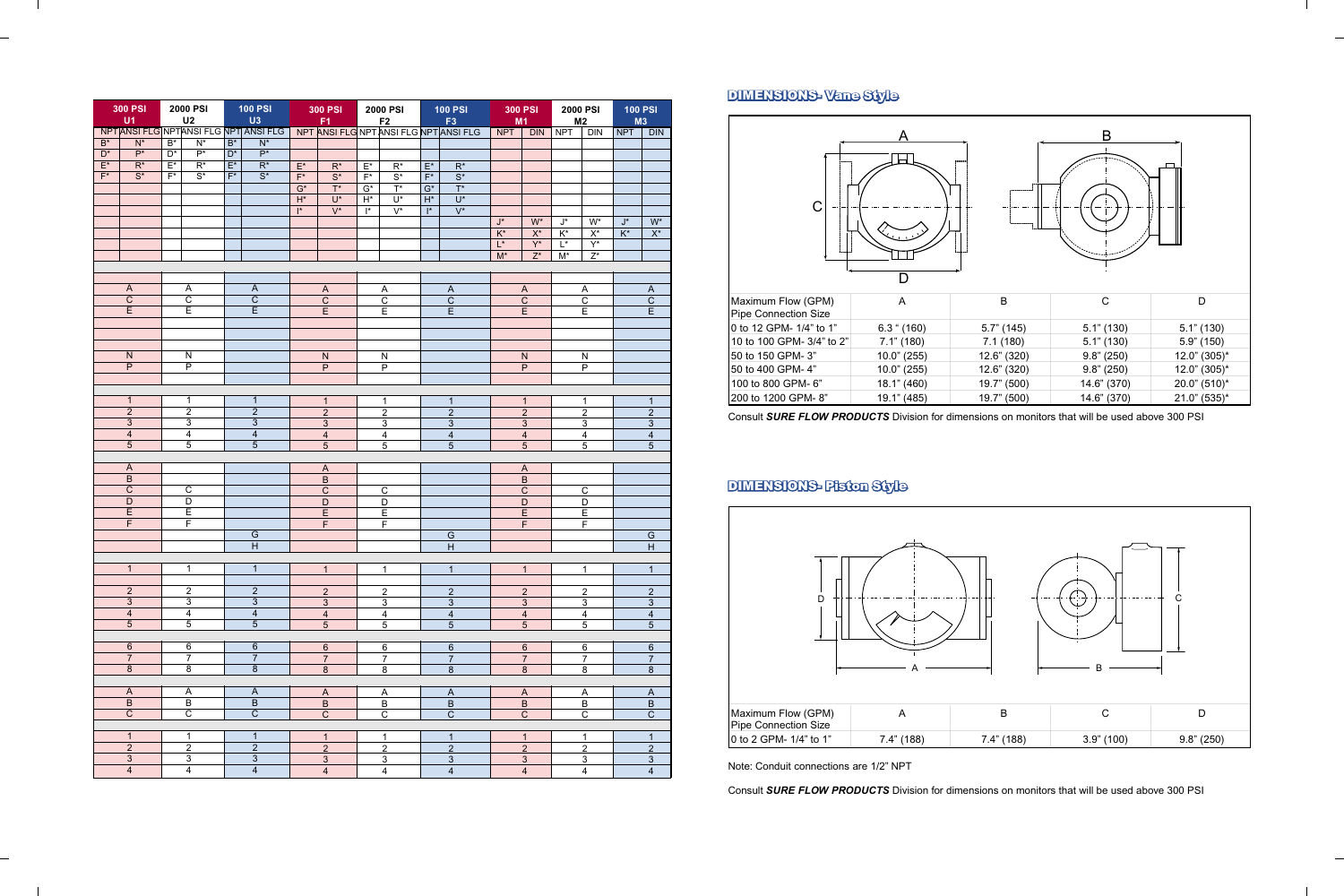|                  | <b>300 PSI</b><br>U1      |                  | <b>2000 PSI</b><br>U <sub>2</sub> |                  | <b>100 PSI</b><br>U3                   |                    | <b>300 PSI</b><br>F <sub>1</sub> | 2000 PSI<br><b>100 PSI</b><br><b>300 PSI</b><br><b>2000 PSI</b><br>F2<br>F <sub>3</sub><br>M <sub>2</sub><br>M1 |                  |                         |                                        |                         | <b>100 PSI</b><br>M3      |                    |                           |                |                         |                |  |
|------------------|---------------------------|------------------|-----------------------------------|------------------|----------------------------------------|--------------------|----------------------------------|-----------------------------------------------------------------------------------------------------------------|------------------|-------------------------|----------------------------------------|-------------------------|---------------------------|--------------------|---------------------------|----------------|-------------------------|----------------|--|
|                  |                           |                  |                                   |                  | NPT ANSI FLG NPT ANSI FLG NPT ANSI FLG |                    |                                  |                                                                                                                 |                  |                         | NPT ANSI FLG NPT ANSI FLG NPT ANSI FLG | <b>NPT</b>              | <b>DIN</b>                | <b>NPT</b>         | <b>DIN</b>                | <b>NPT</b>     | DIN                     |                |  |
| $\overline{B^*}$ | $\overline{\mathsf{N}^*}$ | $\overline{B^*}$ | $\overline{\mathsf{N}^*}$         | $B^*$            | $\overline{N^*}$                       |                    |                                  |                                                                                                                 |                  |                         |                                        |                         |                           |                    |                           |                |                         |                |  |
| $\overline{D^*}$ | $\overline{P^*}$          | $\overline{D^*}$ | $\overline{P^*}$                  | $\overline{D^*}$ | $\overline{P^*}$                       |                    |                                  |                                                                                                                 |                  |                         |                                        |                         |                           |                    |                           |                |                         |                |  |
| $E^*$            | $\overline{R^*}$          | $\overline{E^*}$ | $\overline{R^*}$                  | $\overline{E^*}$ | $\overline{R^*}$                       | $\mathsf{E}^\star$ | $\overline{\mathsf{R}^*}$        | $E^*$                                                                                                           | $\overline{R^*}$ | $\mathsf{E}^\star$      | $\overline{R^*}$                       |                         |                           |                    |                           |                |                         |                |  |
| $F^*$            | $\overline{S^*}$          | $F^*$            | $\overline{S^*}$                  | $F^*$            | $\overline{S^*}$                       | $F^*$              | $\overline{S^*}$                 | $F^*$                                                                                                           | $\overline{S^*}$ | $\mathsf{F}^\star$      | $\overline{S^*}$                       |                         |                           |                    |                           |                |                         |                |  |
|                  |                           |                  |                                   |                  |                                        | $G^*$              | $T^*$                            | $\mathsf{G}^\star$                                                                                              | $\overline{T}^*$ | $G^*$                   | $\overline{T^*}$                       |                         |                           |                    |                           |                |                         |                |  |
|                  |                           |                  |                                   |                  |                                        | $\mathsf{H}^\star$ | $U^*$                            | $\mathsf{H}^\star$                                                                                              | $U^*$            | $\mathsf{H}^\star$      | $U^*$                                  |                         |                           |                    |                           |                |                         |                |  |
|                  |                           |                  |                                   |                  |                                        | $\mathsf{I}^*$     | $V^*$                            | $\mathsf{I}^*$                                                                                                  | $V^*$            | $\mathsf{I}^*$          | $V^*$                                  |                         |                           |                    |                           |                |                         |                |  |
|                  |                           |                  |                                   |                  |                                        |                    |                                  |                                                                                                                 |                  |                         |                                        |                         |                           |                    |                           |                |                         |                |  |
|                  |                           |                  |                                   |                  |                                        |                    |                                  |                                                                                                                 |                  |                         |                                        | $J^*$                   | $W^*$                     | $J^*$              | $W^*$                     | $J^*$          | $\mathsf{W}^\star$      |                |  |
|                  |                           |                  |                                   |                  |                                        |                    |                                  |                                                                                                                 |                  |                         |                                        | $K^*$                   | $\mathsf{X}^\star$        | $K^*$              | $X^*$                     | $K^*$          | $\overline{X^*}$        |                |  |
|                  |                           |                  |                                   |                  |                                        |                    |                                  |                                                                                                                 |                  |                         |                                        | $\overline{L^*}$        | $Y^*$                     | $\mathsf{L}^\star$ | $Y^*$                     |                |                         |                |  |
|                  |                           |                  |                                   |                  |                                        |                    |                                  |                                                                                                                 |                  |                         |                                        | $M^*$                   | $Z^*$                     | $M^*$              | $\overline{Z^*}$          |                |                         |                |  |
|                  |                           |                  |                                   |                  |                                        |                    |                                  |                                                                                                                 |                  |                         |                                        |                         |                           |                    |                           |                |                         |                |  |
|                  |                           |                  |                                   |                  |                                        |                    |                                  |                                                                                                                 |                  |                         |                                        |                         |                           |                    |                           |                |                         |                |  |
|                  | $\overline{A}$            |                  | $\overline{\mathsf{A}}$           |                  | $\overline{A}$                         |                    | $\boldsymbol{\mathsf{A}}$        |                                                                                                                 | A                |                         | $\mathsf{A}$                           |                         | $\boldsymbol{\mathsf{A}}$ |                    | $\boldsymbol{\mathsf{A}}$ |                | $\overline{A}$          |                |  |
|                  | $\overline{C}$            |                  | $\overline{\text{c}}$             |                  | $\overline{C}$                         |                    | $\overline{C}$                   |                                                                                                                 | $\overline{C}$   |                         | $\overline{C}$                         |                         | $\overline{C}$            |                    | $\overline{c}$            |                | $\overline{C}$          |                |  |
|                  | $\overline{E}$            |                  | $\overline{\mathsf{E}}$           |                  | $\overline{E}$                         |                    | E                                |                                                                                                                 | E                |                         | E                                      |                         | E                         |                    | E                         |                | E                       |                |  |
|                  |                           |                  |                                   |                  |                                        |                    |                                  |                                                                                                                 |                  |                         |                                        |                         |                           |                    |                           |                |                         |                |  |
|                  |                           |                  |                                   |                  |                                        |                    |                                  |                                                                                                                 |                  |                         |                                        |                         |                           |                    |                           |                |                         |                |  |
|                  |                           |                  |                                   |                  |                                        |                    |                                  |                                                                                                                 |                  |                         |                                        |                         |                           |                    |                           |                |                         |                |  |
|                  | $\overline{N}$            |                  | $\overline{\mathsf{N}}$           |                  |                                        |                    | ${\sf N}$                        |                                                                                                                 | ${\sf N}$        |                         |                                        |                         | ${\sf N}$                 |                    | ${\sf N}$                 |                |                         |                |  |
|                  | $\overline{P}$            |                  | $\overline{P}$                    |                  |                                        |                    | $\mathsf P$                      |                                                                                                                 | $\overline{P}$   |                         |                                        |                         | $\mathsf P$               |                    | $\mathsf{P}$              |                |                         |                |  |
|                  |                           |                  |                                   |                  |                                        |                    |                                  |                                                                                                                 |                  |                         |                                        |                         |                           |                    |                           |                |                         |                |  |
|                  |                           |                  |                                   |                  |                                        |                    |                                  |                                                                                                                 |                  |                         |                                        |                         |                           |                    |                           |                |                         |                |  |
|                  | $\overline{1}$            |                  | $\mathbf{1}$                      |                  | $\mathbf{1}$                           |                    | $\mathbf{1}$                     |                                                                                                                 | 1                |                         | $\mathbf{1}$                           |                         | $\mathbf{1}$              |                    | $\mathbf{1}$              |                | $\mathbf{1}$            |                |  |
|                  | $\overline{2}$            |                  | $\overline{2}$                    |                  | $\overline{2}$                         | $\overline{2}$     |                                  | $\overline{2}$                                                                                                  |                  | $\overline{c}$          |                                        | $\overline{2}$          |                           | $\overline{2}$     |                           | $\overline{c}$ |                         |                |  |
|                  | $\overline{3}$            |                  | $\overline{3}$                    |                  | $\overline{3}$                         | $\mathbf{3}$       |                                  | $\mathbf{3}$                                                                                                    |                  | $\sqrt{3}$              |                                        | $\mathbf{3}$            |                           | 3                  |                           | $\mathbf{3}$   |                         |                |  |
|                  | $\overline{4}$            |                  | $\overline{4}$                    |                  | $\overline{4}$                         | $\overline{4}$     |                                  | $\overline{4}$                                                                                                  |                  | $\overline{\mathbf{4}}$ |                                        | $\overline{4}$          |                           | $\overline{4}$     |                           | $\overline{4}$ |                         |                |  |
|                  | $\overline{5}$            |                  | $\overline{5}$                    | $\overline{5}$   |                                        | $\overline{5}$     |                                  | $\overline{5}$                                                                                                  |                  | 5                       |                                        | $\overline{5}$          |                           | 5                  |                           | $\overline{5}$ |                         |                |  |
|                  |                           |                  |                                   |                  |                                        |                    |                                  |                                                                                                                 |                  |                         |                                        |                         |                           |                    |                           |                |                         |                |  |
|                  | $\boldsymbol{\mathsf{A}}$ |                  |                                   |                  |                                        |                    | $\overline{A}$                   |                                                                                                                 |                  |                         |                                        |                         | $\boldsymbol{\mathsf{A}}$ |                    |                           |                |                         |                |  |
|                  | $\overline{B}$            |                  |                                   |                  |                                        |                    | $\overline{B}$                   |                                                                                                                 |                  |                         |                                        |                         | $\sf B$                   |                    |                           |                |                         |                |  |
|                  | $\overline{C}$            |                  | $\overline{\mathsf{c}}$           |                  |                                        |                    | $\overline{C}$                   |                                                                                                                 | $\mathsf C$      |                         |                                        |                         | $\overline{C}$            |                    | $\mathsf C$               |                |                         |                |  |
|                  | $\overline{D}$            |                  | $\overline{\mathsf{D}}$           |                  |                                        |                    | $\overline{\mathsf{D}}$          |                                                                                                                 | D                |                         |                                        |                         |                           |                    | D                         |                |                         |                |  |
|                  | $\overline{E}$            |                  | $\overline{\mathsf{E}}$           |                  |                                        |                    | $\overline{E}$                   |                                                                                                                 |                  |                         |                                        |                         | D<br>$\overline{E}$       |                    |                           |                |                         |                |  |
|                  | $\overline{F}$            |                  | $\overline{\mathsf{F}}$           |                  |                                        |                    |                                  |                                                                                                                 | $\overline{E}$   |                         |                                        | $\overline{\mathsf{F}}$ |                           |                    | $\overline{E}$            |                |                         |                |  |
|                  |                           |                  |                                   |                  |                                        |                    | $\overline{\mathsf{F}}$          |                                                                                                                 | $\mathsf F$      |                         |                                        |                         |                           |                    | $\mathsf F$               |                |                         |                |  |
|                  |                           |                  |                                   |                  | $\overline{G}$                         |                    |                                  |                                                                                                                 |                  |                         | $\overline{G}$                         |                         |                           |                    |                           | $\overline{G}$ |                         |                |  |
|                  |                           |                  |                                   |                  | $\overline{H}$                         |                    |                                  |                                                                                                                 |                  |                         | H                                      |                         |                           |                    |                           | $\overline{H}$ |                         |                |  |
|                  |                           |                  |                                   |                  |                                        |                    |                                  |                                                                                                                 |                  |                         |                                        |                         |                           |                    |                           |                |                         |                |  |
|                  | $\mathbf{1}$              |                  | $\mathbf{1}$                      |                  | $\mathbf{1}$                           |                    | 1                                |                                                                                                                 | 1                |                         | $\mathbf{1}$                           |                         | 1                         |                    | $\mathbf 1$               |                | $\mathbf{1}$            |                |  |
|                  |                           |                  |                                   |                  |                                        |                    |                                  |                                                                                                                 |                  |                         |                                        |                         |                           |                    |                           |                |                         |                |  |
|                  | $\overline{2}$            |                  | $\overline{c}$                    |                  | $\overline{\mathbf{c}}$                |                    | $\overline{a}$                   |                                                                                                                 | $\overline{c}$   |                         | $\overline{2}$                         |                         | $\overline{a}$            |                    | $\overline{c}$            |                | $\overline{2}$          |                |  |
|                  | $\overline{3}$            |                  | $\overline{3}$                    |                  | $\overline{3}$                         |                    | $\overline{3}$                   |                                                                                                                 | $\overline{3}$   |                         | $\overline{3}$                         |                         | $\overline{3}$            |                    | $\overline{3}$            |                | $\mathbf{3}$            |                |  |
|                  | $\overline{4}$            |                  | $\overline{4}$                    |                  | $\overline{4}$                         |                    | $\overline{4}$                   |                                                                                                                 | $\overline{4}$   |                         | $\overline{\mathbf{4}}$                |                         | $\overline{4}$            |                    | $\overline{4}$            |                | $\overline{\mathbf{4}}$ |                |  |
|                  | $\overline{5}$            |                  | $\overline{5}$                    |                  | $\overline{5}$                         |                    | $\overline{5}$                   |                                                                                                                 | 5                |                         | 5                                      |                         | $\overline{5}$            |                    | 5                         |                | $\overline{5}$          |                |  |
|                  |                           |                  |                                   |                  |                                        |                    |                                  |                                                                                                                 |                  |                         |                                        |                         |                           |                    |                           |                |                         |                |  |
|                  | $\,6\,$                   |                  | $\,6$                             |                  | 6                                      |                    | $6 \overline{}$                  | 6                                                                                                               |                  |                         | 6                                      |                         | 6                         |                    | 6                         |                | 6                       |                |  |
|                  | $\overline{7}$            |                  | $\overline{7}$                    |                  | 7                                      |                    | $\overline{7}$                   |                                                                                                                 | $\overline{7}$   |                         | $\overline{7}$                         |                         | $\overline{7}$            |                    | $\overline{7}$            |                | $\boldsymbol{7}$        |                |  |
|                  | $\overline{8}$            |                  | $\overline{8}$                    |                  | $\overline{8}$                         |                    | $\overline{8}$                   |                                                                                                                 | 8                |                         | $\,8\,$                                |                         | $\bf 8$                   |                    | $\bf 8$                   |                | $\,8\,$                 |                |  |
|                  |                           |                  |                                   |                  |                                        |                    |                                  |                                                                                                                 |                  |                         |                                        |                         |                           |                    |                           |                |                         |                |  |
|                  | A                         |                  | Α                                 |                  | $\boldsymbol{\mathsf{A}}$              |                    | $\overline{A}$                   |                                                                                                                 | A                |                         | $\overline{A}$                         |                         | $\mathsf A$               | A                  |                           | $\overline{A}$ |                         |                |  |
|                  | $\, {\sf B} \,$           |                  | $\overline{B}$                    |                  | $\sf B$                                |                    | $\overline{B}$                   | $\overline{B}$                                                                                                  |                  |                         |                                        |                         | B                         |                    | $\overline{B}$            | B              |                         | $\overline{B}$ |  |
|                  | $\overline{C}$            |                  | $\overline{\text{c}}$             |                  | $\overline{\text{c}}$                  |                    | $\overline{C}$                   |                                                                                                                 | ${\bf C}$        |                         | $\mathsf C$                            |                         | $\mathsf C$               |                    | $\mathbf C$               |                | $\mathsf{C}$            |                |  |
|                  |                           |                  |                                   |                  |                                        |                    |                                  |                                                                                                                 |                  |                         |                                        |                         |                           |                    |                           |                |                         |                |  |
|                  | $\mathbf{1}$              |                  | $\mathbf{1}$                      |                  | $\mathbf{1}$                           |                    | $\mathbf{1}$                     |                                                                                                                 | $\mathbf 1$      |                         | $\mathbf{1}$                           |                         | $\mathbf{1}$              |                    | $\mathbf{1}$              | $\mathbf{1}$   |                         |                |  |
|                  | $\overline{2}$            |                  | $\overline{2}$                    |                  | $\sqrt{2}$                             |                    | $\overline{2}$                   |                                                                                                                 | $\overline{2}$   |                         | $\overline{2}$                         |                         | $\overline{2}$            |                    | $\overline{2}$            |                | $\overline{2}$          |                |  |
|                  | $\mathbf{3}$              |                  | $\overline{3}$                    |                  | $\mathbf{3}$                           |                    | $\overline{3}$                   |                                                                                                                 | $\overline{3}$   |                         | $\overline{3}$                         |                         | $\overline{3}$            |                    | $\overline{3}$            |                | $\overline{3}$          |                |  |
|                  | $\overline{4}$            |                  | $\overline{4}$                    |                  | $\overline{4}$                         |                    | $\overline{4}$                   |                                                                                                                 | $\overline{4}$   |                         | $\overline{\mathbf{4}}$                |                         | $\overline{4}$            |                    | $\overline{\mathbf{4}}$   | $\overline{4}$ |                         |                |  |





| Maximum Flow (GPM)          | А              |  |
|-----------------------------|----------------|--|
| <b>Pipe Connection Size</b> |                |  |
| 0 to 12 GPM- 1/4" to 1"     | $6.3$ " (160)  |  |
| 10 to 100 GPM- 3/4" to 2"   | 7.1" (180)     |  |
| 50 to 150 GPM-3"            | $10.0$ " (255) |  |
| 50 to 400 GPM-4"            | $10.0$ " (255) |  |
| 100 to 800 GPM- 6"          | 18.1" (460)    |  |
| 200 to 1200 GPM-8"          | 19.1" (485)    |  |

| [Maximum Flow (GPM)     |               |  |
|-------------------------|---------------|--|
| Pipe Connection Size    |               |  |
| 10 to 2 GPM- 1/4" to 1" | $7.4$ " (188) |  |

# DIMENSIONS- Vane Style

# DIMENSIONS- Piston Style

Note: Conduit connections are 1/2" NPT

Consult *SURE FLOW PRODUCTS* Division for dimensions on monitors that will be used above 300 PSI

Consult *SURE FLOW PRODUCTS* Division for dimensions on monitors that will be used above 300 PSI